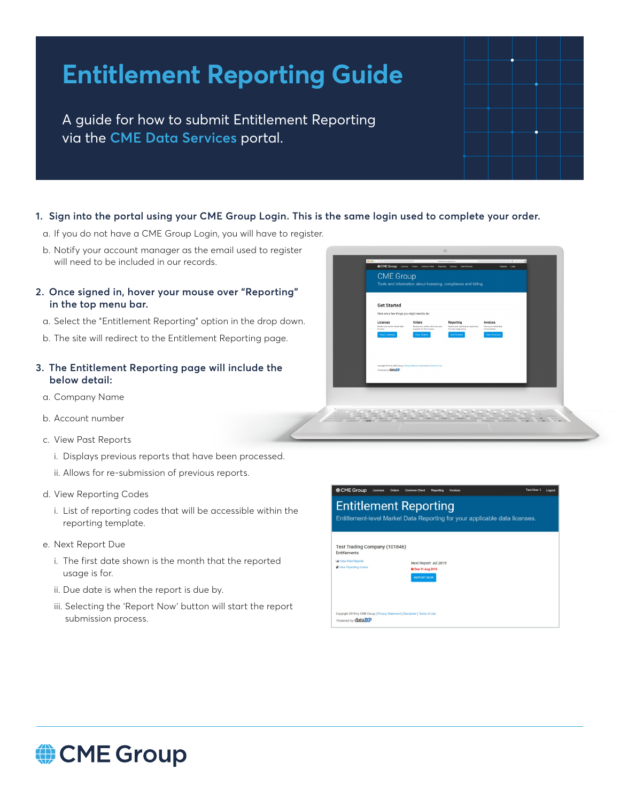# **Entitlement Reporting Guide**

A guide for how to submit Entitlement Reporting via the **[CME Data Services](https://dataservices.cmegroup.com/)** portal.

#### **1. Sign into the portal using your CME Group Login. This is the same login used to complete your order.**

- a. If you do not have a CME Group Login, you will have to register.
- b. Notify your account manager as the email used to register will need to be included in our records.
- **2. Once signed in, hover your mouse over "Reporting" in the top menu bar.** 
	- a. Select the "Entitlement Reporting" option in the drop down.
	- b. The site will redirect to the Entitlement Reporting page.

#### **3. The Entitlement Reporting page will include the below detail:**

- a. Company Name
- b. Account number
- c. View Past Reports
	- i. Displays previous reports that have been processed.
	- ii. Allows for re-submission of previous reports.
- d. View Reporting Codes
	- i. List of reporting codes that will be accessible within the reporting template.
- e. Next Report Due
	- i. The first date shown is the month that the reported usage is for.
	- ii. Due date is when the report is due by.
	- iii. Selecting the 'Report Now' button will start the report submission process.



|                               | Entitlement-level Market Data Reporting for your applicable data licenses. |  |
|-------------------------------|----------------------------------------------------------------------------|--|
| Test Trading Company (101846) |                                                                            |  |
| <b>Entitlements</b>           |                                                                            |  |
| <b>Lat</b> View Past Reports  | Next Report: Jul 2019                                                      |  |
| <b>C</b> View Reporting Codes | <b>O</b> Due 31 Aug 2019                                                   |  |
|                               | <b>REPORT NOW</b>                                                          |  |
|                               |                                                                            |  |
|                               |                                                                            |  |
|                               |                                                                            |  |

# CME Group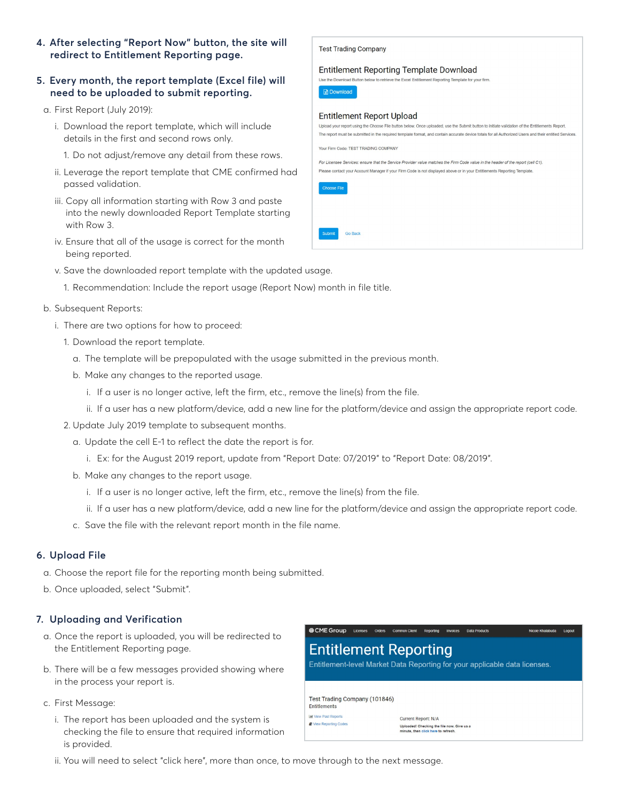**4. After selecting "Report Now" button, the site will redirect to Entitlement Reporting page.** 

#### **5. Every month, the report template (Excel file) will need to be uploaded to submit reporting.**

- a. First Report (July 2019):
	- i. Download the report template, which will include details in the first and second rows only.
		- 1. Do not adjust/remove any detail from these rows.
	- ii. Leverage the report template that CME confirmed had passed validation.
	- iii. Copy all information starting with Row 3 and paste into the newly downloaded Report Template starting with Row 3.
	- iv. Ensure that all of the usage is correct for the month being reported.
	- v. Save the downloaded report template with the updated usage.
		- 1. Recommendation: Include the report usage (Report Now) month in file title.

#### b. Subsequent Reports:

- i. There are two options for how to proceed:
	- 1. Download the report template.
		- a. The template will be prepopulated with the usage submitted in the previous month.
		- b. Make any changes to the reported usage.
			- i. If a user is no longer active, left the firm, etc., remove the line(s) from the file.
			- ii. If a user has a new platform/device, add a new line for the platform/device and assign the appropriate report code.

**Test Trading Company** 

- 2. Update July 2019 template to subsequent months.
	- a. Update the cell E-1 to reflect the date the report is for.
		- i. Ex: for the August 2019 report, update from "Report Date: 07/2019" to "Report Date: 08/2019".
	- b. Make any changes to the report usage.
		- i. If a user is no longer active, left the firm, etc., remove the line(s) from the file.
		- ii. If a user has a new platform/device, add a new line for the platform/device and assign the appropriate report code.
	- c. Save the file with the relevant report month in the file name.

### **6. Upload File**

- a. Choose the report file for the reporting month being submitted.
- b. Once uploaded, select "Submit".

### **7. Uploading and Verification**

- a. Once the report is uploaded, you will be redirected to the Entitlement Reporting page.
- b. There will be a few messages provided showing where in the process your report is.
- c. First Message:
	- i. The report has been uploaded and the system is checking the file to ensure that required information is provided.



ii. You will need to select "click here", more than once, to move through to the next message.

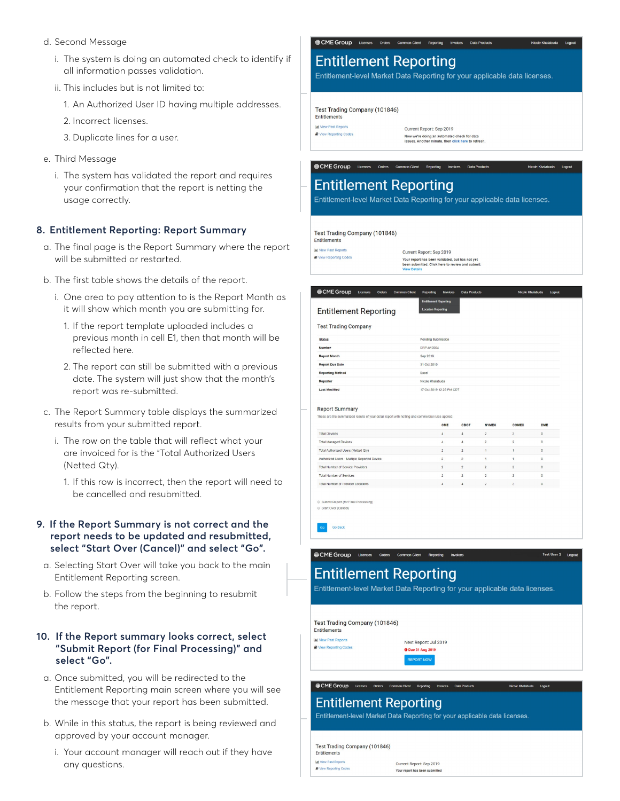- d. Second Message
	- i. The system is doing an automated check to identify if all information passes validation.
	- ii. This includes but is not limited to:
		- 1. An Authorized User ID having multiple addresses.
		- 2. Incorrect licenses.
		- 3. Duplicate lines for a user.
- e. Third Message
	- i. The system has validated the report and requires your confirmation that the report is netting the usage correctly.

#### **8. Entitlement Reporting: Report Summary**

- a. The final page is the Report Summary where the report will be submitted or restarted.
- b. The first table shows the details of the report.
	- i. One area to pay attention to is the Report Month as it will show which month you are submitting for.
		- 1. If the report template uploaded includes a previous month in cell E1, then that month will be reflected here.
		- 2. The report can still be submitted with a previous date. The system will just show that the month's report was re-submitted.
- c. The Report Summary table displays the summarized results from your submitted report.
	- i. The row on the table that will reflect what your are invoiced for is the "Total Authorized Users (Netted Qty).
		- 1. If this row is incorrect, then the report will need to be cancelled and resubmitted.

#### **9. If the Report Summary is not correct and the report needs to be updated and resubmitted, select "Start Over (Cancel)" and select "Go".**

- a. Selecting Start Over will take you back to the main Entitlement Reporting screen.
- b. Follow the steps from the beginning to resubmit the report.

#### **10. If the Report summary looks correct, select "Submit Report (for Final Processing)" and select "Go".**

- a. Once submitted, you will be redirected to the Entitlement Reporting main screen where you will see the message that your report has been submitted.
- b. While in this status, the report is being reviewed and approved by your account manager.
	- i. Your account manager will reach out if they have any questions.

CME Group Licenses Orders Common Client Reporting Invoices

## **Entitlement Reporting**

Entitlement-level Market Data Reporting for vour applicable data licenses.

Test Trading Company (101846) Entitlements

**Lal** View Past Reports

View Reporting Codes

Current Report: Sep 2019 Now we're doing an automated check for data<br>Issues. Another minute, then click here to ref

# **Entitlement Reporting**

@CMEGroup Licenses Orders Common Client Reporting Invoices Data Products

Entitlement-level Market Data Reporting for your applicable data licenses.

Test Trading Company (101846)

Entitlements **M** View Past Reports

View Reporting Codes

Current Report: Sep 2019

Your report has been validated, but has not yet<br>been submitted. Click here to review and subm

| <b>Entitlement Reporting</b>                                                                      |  |  |                  |                                                           |                |                |                |                |              |  |
|---------------------------------------------------------------------------------------------------|--|--|------------------|-----------------------------------------------------------|----------------|----------------|----------------|----------------|--------------|--|
|                                                                                                   |  |  |                  | <b>Entitlement Reporting</b><br><b>Location Reporting</b> |                |                |                |                |              |  |
| <b>Test Trading Company</b>                                                                       |  |  |                  |                                                           |                |                |                |                |              |  |
| <b>Status</b>                                                                                     |  |  |                  | Pending Submission                                        |                |                |                |                |              |  |
| Number                                                                                            |  |  |                  | FRP-A10304                                                |                |                |                |                |              |  |
| <b>Report Month</b>                                                                               |  |  |                  | Sep 2019                                                  |                |                |                |                |              |  |
| <b>Report Due Date</b>                                                                            |  |  |                  | 31 Oct 2019                                               |                |                |                |                |              |  |
| <b>Reporting Method</b>                                                                           |  |  |                  | Excel                                                     |                |                |                |                |              |  |
| Reporter                                                                                          |  |  | Nicole Khalabuda |                                                           |                |                |                |                |              |  |
| <b>Last Modified</b><br><b>Report Summary</b>                                                     |  |  |                  | 17 Oct 2019 12:25 PM CDT                                  |                |                |                |                |              |  |
| These are the summarized results of your detail report with netting and commercial rules applied. |  |  |                  |                                                           | CME            | CBOT           | <b>NYMEX</b>   | <b>COMEX</b>   | <b>DME</b>   |  |
| <b>Total Devices</b>                                                                              |  |  |                  |                                                           | $\overline{4}$ | 4              | $\overline{c}$ | $\overline{c}$ | $\mathbf{0}$ |  |
| <b>Total Managed Devices</b>                                                                      |  |  |                  |                                                           | $\Delta$       | $\Delta$       | $\overline{2}$ | $\overline{2}$ | $\circ$      |  |
| Total Authorized Users (Netted Qty)                                                               |  |  |                  |                                                           | $\overline{2}$ | $\overline{2}$ | $\overline{1}$ | $\overline{1}$ | $\circ$      |  |
| Authorized Users - Multiple Reported Device                                                       |  |  |                  |                                                           | $\overline{c}$ | $\overline{2}$ | 1              | 1              | $\mathbf{0}$ |  |
| <b>Total Number of Service Providers</b>                                                          |  |  |                  |                                                           | $\overline{2}$ | $\overline{2}$ | $\overline{2}$ | $\overline{2}$ | $\circ$      |  |
| <b>Total Number of Services</b>                                                                   |  |  |                  |                                                           | $\overline{c}$ | $\overline{c}$ | $\overline{c}$ | $\overline{c}$ | $\circ$      |  |

Go Back

ECME Group Licenses Orders Common Client Reporting Invoices

# **Entitlement Reporting**

Entitlement-level Market Data Reporting for your applicable data licenses.

Test Trading Company (101846) Entitlements

**M** View Past Reports **D** View Reporting Codes

Next Report: Jul 2019 **0** Due 31 Aug 2019

CME Group Licenses

### **Entitlement Reporting**

Entitlement-level Market Data Reporting for your applicable data licenses.

**REPORT NOW** 

Test Trading Company (101846) Entitlements **R** View Reporting Codes

Current Report: Sep 2019 Your report has been submitted

Test User 1 Logor